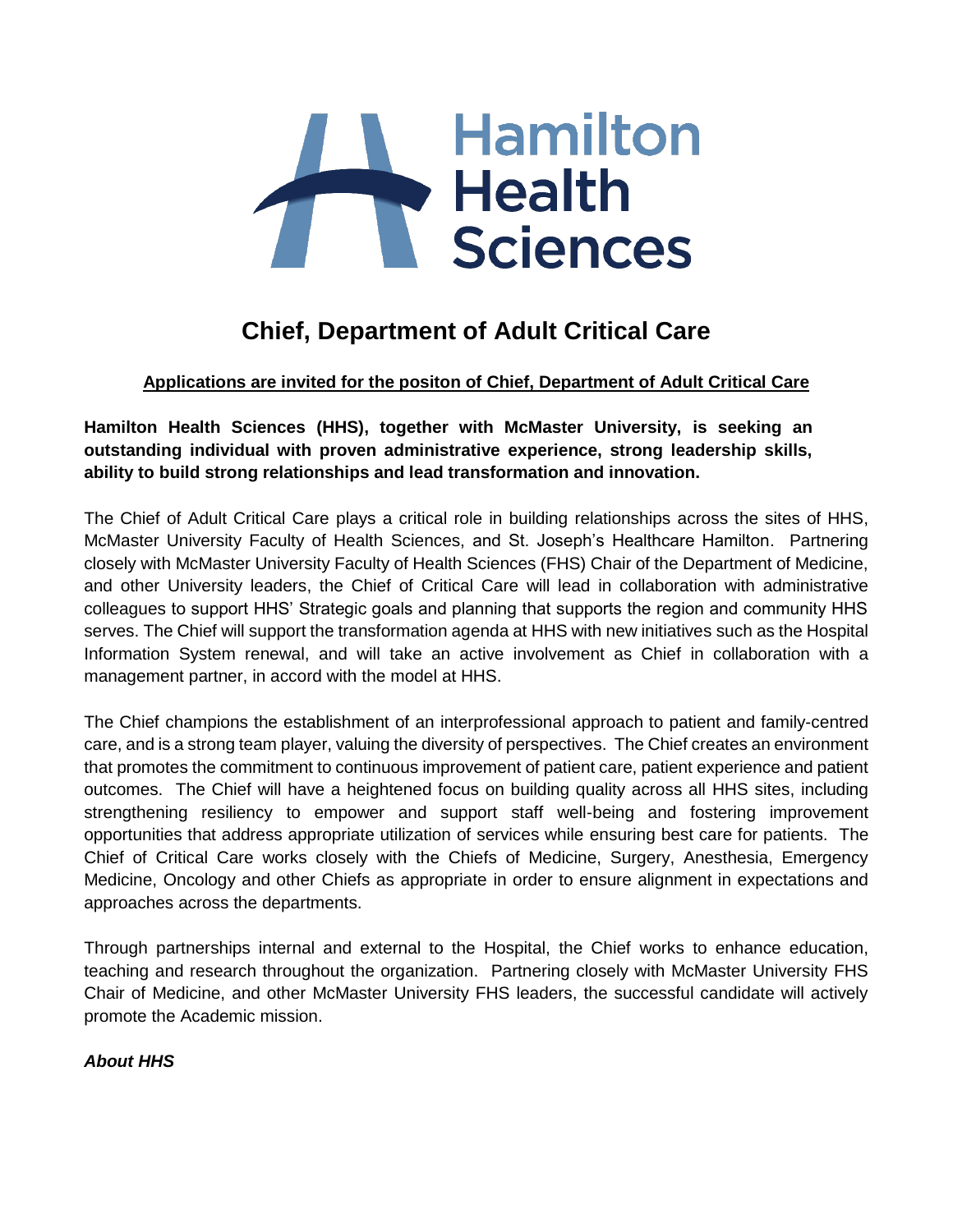

# **Chief, Department of Adult Critical Care**

## **Applications are invited for the positon of Chief, Department of Adult Critical Care**

**Hamilton Health Sciences (HHS), together with McMaster University, is seeking an outstanding individual with proven administrative experience, strong leadership skills, ability to build strong relationships and lead transformation and innovation.**

The Chief of Adult Critical Care plays a critical role in building relationships across the sites of HHS, McMaster University Faculty of Health Sciences, and St. Joseph's Healthcare Hamilton. Partnering closely with McMaster University Faculty of Health Sciences (FHS) Chair of the Department of Medicine, and other University leaders, the Chief of Critical Care will lead in collaboration with administrative colleagues to support HHS' Strategic goals and planning that supports the region and community HHS serves. The Chief will support the transformation agenda at HHS with new initiatives such as the Hospital Information System renewal, and will take an active involvement as Chief in collaboration with a management partner, in accord with the model at HHS.

The Chief champions the establishment of an interprofessional approach to patient and family-centred care, and is a strong team player, valuing the diversity of perspectives. The Chief creates an environment that promotes the commitment to continuous improvement of patient care, patient experience and patient outcomes. The Chief will have a heightened focus on building quality across all HHS sites, including strengthening resiliency to empower and support staff well-being and fostering improvement opportunities that address appropriate utilization of services while ensuring best care for patients. The Chief of Critical Care works closely with the Chiefs of Medicine, Surgery, Anesthesia, Emergency Medicine, Oncology and other Chiefs as appropriate in order to ensure alignment in expectations and approaches across the departments.

Through partnerships internal and external to the Hospital, the Chief works to enhance education, teaching and research throughout the organization. Partnering closely with McMaster University FHS Chair of Medicine, and other McMaster University FHS leaders, the successful candidate will actively promote the Academic mission.

*About HHS*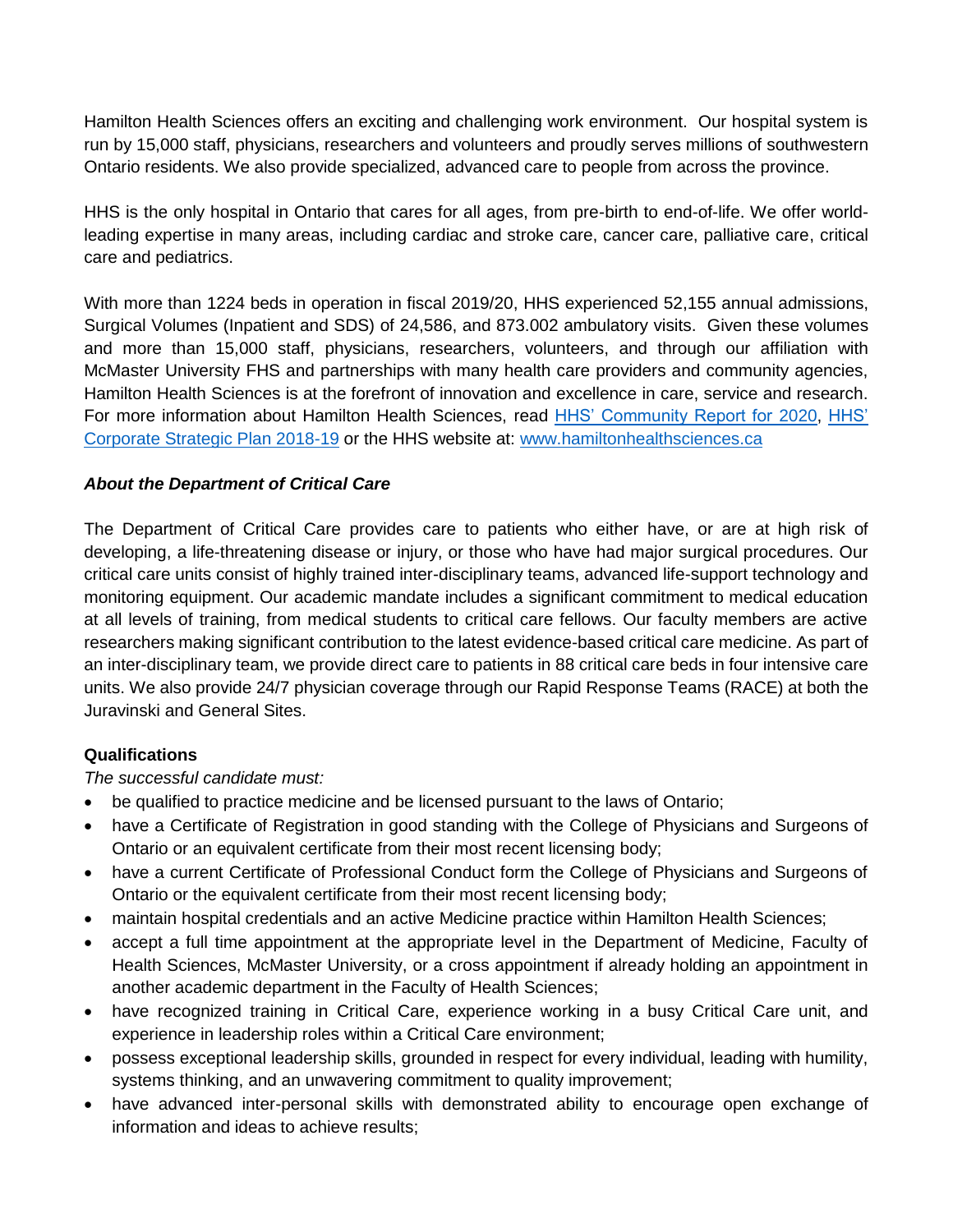Hamilton Health Sciences offers an exciting and challenging work environment. Our hospital system is run by 15,000 staff, physicians, researchers and volunteers and proudly serves millions of southwestern Ontario residents. We also provide specialized, advanced care to people from across the province.

HHS is the only hospital in Ontario that cares for all ages, from pre-birth to end-of-life. We offer worldleading expertise in many areas, including cardiac and stroke care, cancer care, palliative care, critical care and pediatrics.

With more than 1224 beds in operation in fiscal 2019/20, HHS experienced 52,155 annual admissions, Surgical Volumes (Inpatient and SDS) of 24,586, and 873.002 ambulatory visits. Given these volumes and more than 15,000 staff, physicians, researchers, volunteers, and through our affiliation with McMaster University FHS and partnerships with many health care providers and community agencies, Hamilton Health Sciences is at the forefront of innovation and excellence in care, service and research. For more information about Hamilton Health Sciences, read [HHS' Community Report for 2020,](http://www.hamiltonhealthsciences.ca/wp-content/uploads/2020/06/Community-Report-2020.pdf) [HHS'](https://www.hamiltonhealthsciences.ca/wp-content/uploads/2018/12/PDF-Strategy_booklet.pdf)  [Corporate Strategic Plan 2018-19](https://www.hamiltonhealthsciences.ca/wp-content/uploads/2018/12/PDF-Strategy_booklet.pdf) or the HHS website at: [www.hamiltonhealthsciences.ca](http://www.hamiltonhealthsciences.ca/)

### *About the Department of Critical Care*

The Department of Critical Care provides care to patients who either have, or are at high risk of developing, a life-threatening disease or injury, or those who have had major surgical procedures. Our critical care units consist of highly trained inter-disciplinary teams, advanced life-support technology and monitoring equipment. Our academic mandate includes a significant commitment to medical education at all levels of training, from medical students to critical care fellows. Our faculty members are active researchers making significant contribution to the latest evidence-based critical care medicine. As part of an inter-disciplinary team, we provide direct care to patients in 88 critical care beds in four intensive care units. We also provide 24/7 physician coverage through our Rapid Response Teams (RACE) at both the Juravinski and General Sites.

### **Qualifications**

*The successful candidate must:*

- be qualified to practice medicine and be licensed pursuant to the laws of Ontario;
- have a Certificate of Registration in good standing with the College of Physicians and Surgeons of Ontario or an equivalent certificate from their most recent licensing body;
- have a current Certificate of Professional Conduct form the College of Physicians and Surgeons of Ontario or the equivalent certificate from their most recent licensing body;
- maintain hospital credentials and an active Medicine practice within Hamilton Health Sciences;
- accept a full time appointment at the appropriate level in the Department of Medicine, Faculty of Health Sciences, McMaster University, or a cross appointment if already holding an appointment in another academic department in the Faculty of Health Sciences;
- have recognized training in Critical Care, experience working in a busy Critical Care unit, and experience in leadership roles within a Critical Care environment;
- possess exceptional leadership skills, grounded in respect for every individual, leading with humility, systems thinking, and an unwavering commitment to quality improvement;
- have advanced inter-personal skills with demonstrated ability to encourage open exchange of information and ideas to achieve results;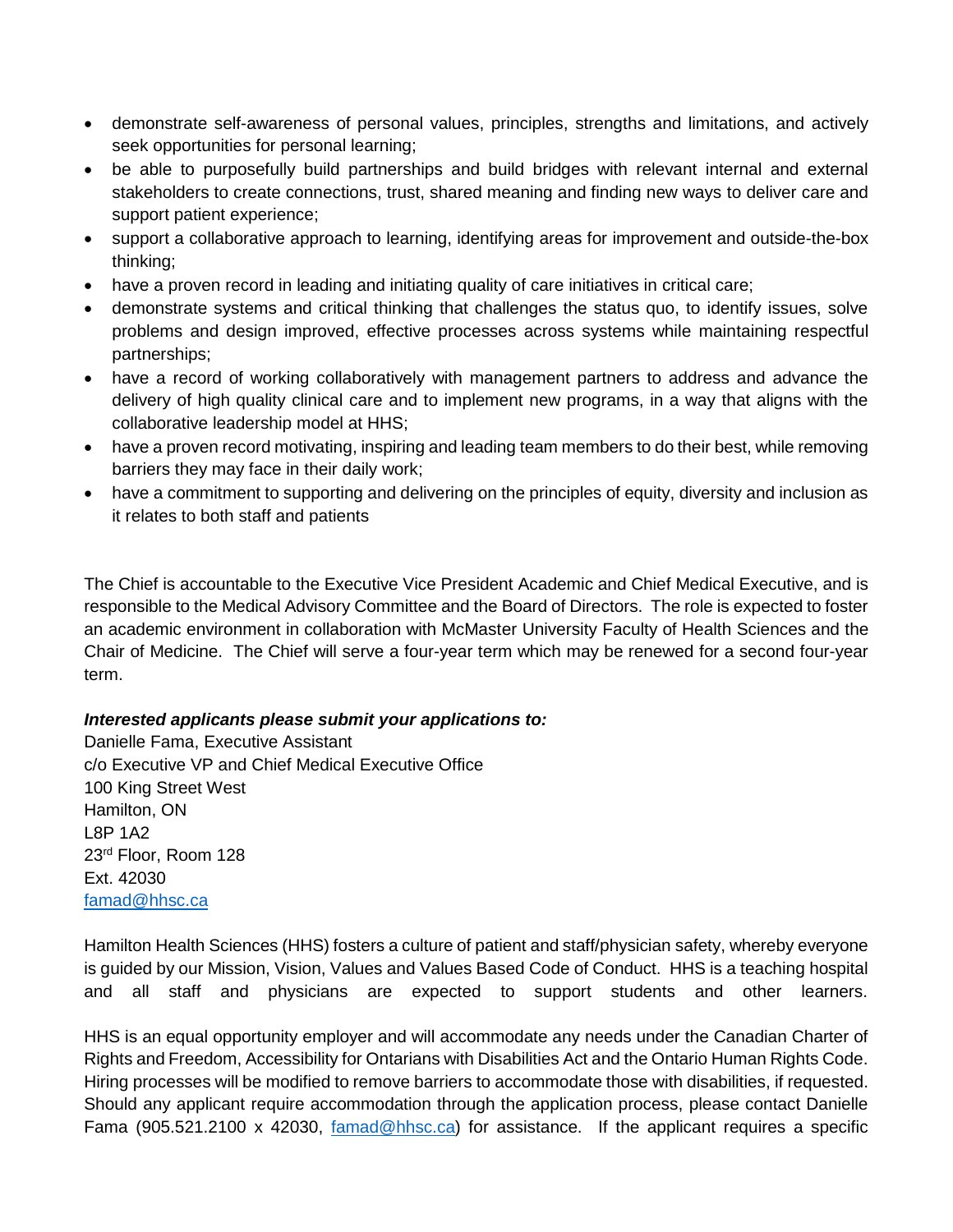- demonstrate self-awareness of personal values, principles, strengths and limitations, and actively seek opportunities for personal learning;
- be able to purposefully build partnerships and build bridges with relevant internal and external stakeholders to create connections, trust, shared meaning and finding new ways to deliver care and support patient experience;
- support a collaborative approach to learning, identifying areas for improvement and outside-the-box thinking;
- have a proven record in leading and initiating quality of care initiatives in critical care;
- demonstrate systems and critical thinking that challenges the status quo, to identify issues, solve problems and design improved, effective processes across systems while maintaining respectful partnerships;
- have a record of working collaboratively with management partners to address and advance the delivery of high quality clinical care and to implement new programs, in a way that aligns with the collaborative leadership model at HHS;
- have a proven record motivating, inspiring and leading team members to do their best, while removing barriers they may face in their daily work;
- have a commitment to supporting and delivering on the principles of equity, diversity and inclusion as it relates to both staff and patients

The Chief is accountable to the Executive Vice President Academic and Chief Medical Executive, and is responsible to the Medical Advisory Committee and the Board of Directors. The role is expected to foster an academic environment in collaboration with McMaster University Faculty of Health Sciences and the Chair of Medicine. The Chief will serve a four-year term which may be renewed for a second four-year term.

### *Interested applicants please submit your applications to:*

Danielle Fama, Executive Assistant c/o Executive VP and Chief Medical Executive Office 100 King Street West Hamilton, ON L8P 1A2 23rd Floor, Room 128 Ext. 42030 [famad@hhsc.ca](mailto:famad@hhsc.ca)

Hamilton Health Sciences (HHS) fosters a culture of patient and staff/physician safety, whereby everyone is guided by our Mission, Vision, Values and Values Based Code of Conduct. HHS is a teaching hospital and all staff and physicians are expected to support students and other learners.

HHS is an equal opportunity employer and will accommodate any needs under the Canadian Charter of Rights and Freedom, Accessibility for Ontarians with Disabilities Act and the Ontario Human Rights Code. Hiring processes will be modified to remove barriers to accommodate those with disabilities, if requested. Should any applicant require accommodation through the application process, please contact Danielle Fama (905.521.2100 x 42030, [famad@hhsc.ca\)](mailto:famad@hhsc.ca) for assistance. If the applicant requires a specific